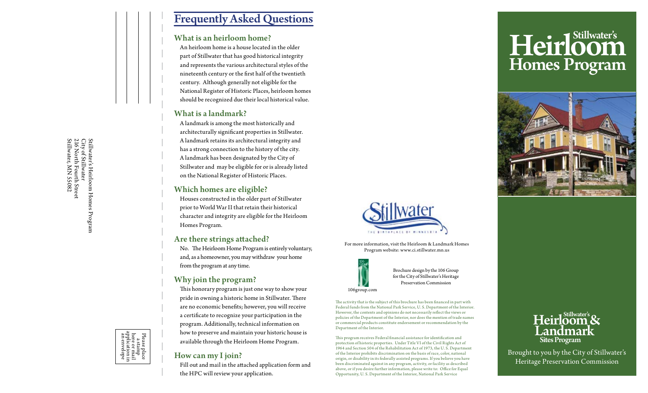# Frequently Asked Questions

#### What is an heirloom home?

An heirloom home is a house located in the older part of Stillwater that has good historical integrity and represents the various architectural styles of the nineteenth century or the first half of the twentieth century. Although generally not eligible for the National Register of Historic Places, heirloom homes should be recognized due their local historical value.

#### What is a landmark?

A landmark is among the most historically and architecturally significant properties in Stillwater. A landmark retains its architectural integrity and has a strong connection to the history of the city. A landmark has been designated by the City of Stillwater and may be eligible for or is already listed on the National Register of Historic Places.

#### Which homes are eligible?

Houses constructed in the older part of Stillwater prior to World War II that retain their historical character and integrity are eligible for the Heirloom Homes Program.

#### Are there strings attached?

No. The Heirloom Home Program is entirely voluntary, and, as a homeowner, you may withdraw your home from the program at any time.

### Why join the program?

This honorary program is just one way to show your pride in owning a historic home in Stillwater. There are no economic benefits; however, you will receive a certificate to recognize your participation in the program. Additionally, technical information on how to preserve and maintain your historic house is available through the Heirloom Home Program.

#### How can my I join?

Fill out and mail in the attached application form and the HPC will review your application.







For more information, visit the Heirloom & Landmark Homes Program website: www.ci.stillwater.mn.us



Brochure design by the 106 Group for the City of Stillwater's Heritage Preservation Commission

106group.com

The activity that is the subject of this brochure has been financed in part with Federal funds from the National Park Service, U. S. Department of the Interior. However, the contents and opinions do not necessarily reflect the views or policies of the Department of the Interior, nor does the mention of trade names or commercial products constitute endorsement or recommendation by the Department of the Interior.

This program receives Federal financial assistance for identification and protection of historic properties. Under Title VI of the Civil Rights Act of 1964 and Section 504 of the Rehabilitation Act of 1973, the U. S. Department of the Interior prohibits discrimination on the basis of race, color, national origin, or disability in its federally assisted programs. If you believe you have been discriminated against in any program, activity, or facility as described above, or if you desire further information, please write to: Office for Equal Opportunity, U. S. Department of the Interior, National Park Service

## Heirloom & Landmark Sites Program

Brought to you by the City of Stillwater's Heritage Preservation Commission

Stillwater's Heirloom Homes Program<br>City of Stillwater<br>216 North Fourth Street<br>Stillwater, MN 55082 Stillwater, MN 55082 216 North Fourth Street City of Stillwater Stillwater's Heirloom Homes Program